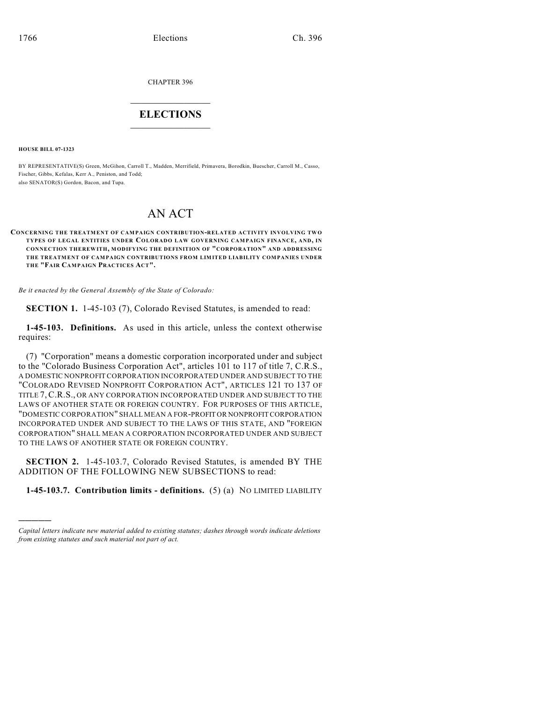CHAPTER 396

## $\overline{\phantom{a}}$  . The set of the set of the set of the set of the set of the set of the set of the set of the set of the set of the set of the set of the set of the set of the set of the set of the set of the set of the set o **ELECTIONS**  $\_$

**HOUSE BILL 07-1323**

)))))

BY REPRESENTATIVE(S) Green, McGihon, Carroll T., Madden, Merrifield, Primavera, Borodkin, Buescher, Carroll M., Casso, Fischer, Gibbs, Kefalas, Kerr A., Peniston, and Todd; also SENATOR(S) Gordon, Bacon, and Tupa.

## AN ACT

**CONCERNING THE TREATMENT OF CAMPAIGN CONTRIBUTION-RELATED ACTIVITY INVOLVING TW O TYPES OF LEGAL ENTITIES UNDER COLORADO LAW GOVERNING CAMPAIGN FINANCE, AND, IN CONNECTION THEREWITH, MODIFYING THE DEFINITION OF "CORPORATION" AND ADDRESSING THE TREATMENT OF CAMPAIGN CONTRIBUTIONS FROM LIMITED LIABILITY COMPANIES UNDER THE "FAIR CAMPAIGN PRACTICES ACT".**

*Be it enacted by the General Assembly of the State of Colorado:*

**SECTION 1.** 1-45-103 (7), Colorado Revised Statutes, is amended to read:

**1-45-103. Definitions.** As used in this article, unless the context otherwise requires:

(7) "Corporation" means a domestic corporation incorporated under and subject to the "Colorado Business Corporation Act", articles 101 to 117 of title 7, C.R.S., A DOMESTIC NONPROFIT CORPORATION INCORPORATED UNDER AND SUBJECT TO THE "COLORADO REVISED NONPROFIT CORPORATION ACT", ARTICLES 121 TO 137 OF TITLE 7,C.R.S., OR ANY CORPORATION INCORPORATED UNDER AND SUBJECT TO THE LAWS OF ANOTHER STATE OR FOREIGN COUNTRY. FOR PURPOSES OF THIS ARTICLE, "DOMESTIC CORPORATION" SHALL MEAN A FOR-PROFIT OR NONPROFIT CORPORATION INCORPORATED UNDER AND SUBJECT TO THE LAWS OF THIS STATE, AND "FOREIGN CORPORATION" SHALL MEAN A CORPORATION INCORPORATED UNDER AND SUBJECT TO THE LAWS OF ANOTHER STATE OR FOREIGN COUNTRY.

**SECTION 2.** 1-45-103.7, Colorado Revised Statutes, is amended BY THE ADDITION OF THE FOLLOWING NEW SUBSECTIONS to read:

**1-45-103.7. Contribution limits - definitions.** (5) (a) NO LIMITED LIABILITY

*Capital letters indicate new material added to existing statutes; dashes through words indicate deletions from existing statutes and such material not part of act.*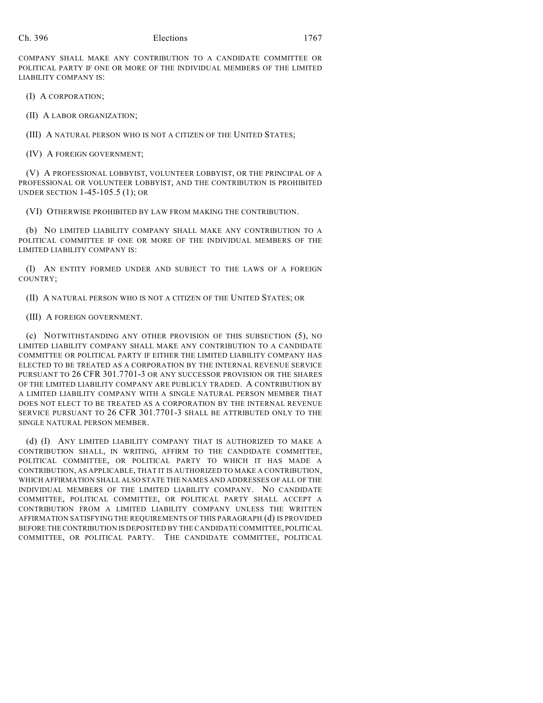COMPANY SHALL MAKE ANY CONTRIBUTION TO A CANDIDATE COMMITTEE OR POLITICAL PARTY IF ONE OR MORE OF THE INDIVIDUAL MEMBERS OF THE LIMITED LIABILITY COMPANY IS:

(I) A CORPORATION;

(II) A LABOR ORGANIZATION;

(III) A NATURAL PERSON WHO IS NOT A CITIZEN OF THE UNITED STATES;

(IV) A FOREIGN GOVERNMENT;

(V) A PROFESSIONAL LOBBYIST, VOLUNTEER LOBBYIST, OR THE PRINCIPAL OF A PROFESSIONAL OR VOLUNTEER LOBBYIST, AND THE CONTRIBUTION IS PROHIBITED UNDER SECTION 1-45-105.5 (1); OR

(VI) OTHERWISE PROHIBITED BY LAW FROM MAKING THE CONTRIBUTION.

(b) NO LIMITED LIABILITY COMPANY SHALL MAKE ANY CONTRIBUTION TO A POLITICAL COMMITTEE IF ONE OR MORE OF THE INDIVIDUAL MEMBERS OF THE LIMITED LIABILITY COMPANY IS:

(I) AN ENTITY FORMED UNDER AND SUBJECT TO THE LAWS OF A FOREIGN COUNTRY;

(II) A NATURAL PERSON WHO IS NOT A CITIZEN OF THE UNITED STATES; OR

(III) A FOREIGN GOVERNMENT.

(c) NOTWITHSTANDING ANY OTHER PROVISION OF THIS SUBSECTION (5), NO LIMITED LIABILITY COMPANY SHALL MAKE ANY CONTRIBUTION TO A CANDIDATE COMMITTEE OR POLITICAL PARTY IF EITHER THE LIMITED LIABILITY COMPANY HAS ELECTED TO BE TREATED AS A CORPORATION BY THE INTERNAL REVENUE SERVICE PURSUANT TO 26 CFR 301.7701-3 OR ANY SUCCESSOR PROVISION OR THE SHARES OF THE LIMITED LIABILITY COMPANY ARE PUBLICLY TRADED. A CONTRIBUTION BY A LIMITED LIABILITY COMPANY WITH A SINGLE NATURAL PERSON MEMBER THAT DOES NOT ELECT TO BE TREATED AS A CORPORATION BY THE INTERNAL REVENUE SERVICE PURSUANT TO 26 CFR 301.7701-3 SHALL BE ATTRIBUTED ONLY TO THE SINGLE NATURAL PERSON MEMBER.

(d) (I) ANY LIMITED LIABILITY COMPANY THAT IS AUTHORIZED TO MAKE A CONTRIBUTION SHALL, IN WRITING, AFFIRM TO THE CANDIDATE COMMITTEE, POLITICAL COMMITTEE, OR POLITICAL PARTY TO WHICH IT HAS MADE A CONTRIBUTION, AS APPLICABLE, THAT IT IS AUTHORIZED TO MAKE A CONTRIBUTION, WHICH AFFIRMATION SHALL ALSO STATE THE NAMES AND ADDRESSES OF ALL OF THE INDIVIDUAL MEMBERS OF THE LIMITED LIABILITY COMPANY. NO CANDIDATE COMMITTEE, POLITICAL COMMITTEE, OR POLITICAL PARTY SHALL ACCEPT A CONTRIBUTION FROM A LIMITED LIABILITY COMPANY UNLESS THE WRITTEN AFFIRMATION SATISFYING THE REQUIREMENTS OF THIS PARAGRAPH (d) IS PROVIDED BEFORE THE CONTRIBUTION IS DEPOSITED BY THE CANDIDATE COMMITTEE, POLITICAL COMMITTEE, OR POLITICAL PARTY. THE CANDIDATE COMMITTEE, POLITICAL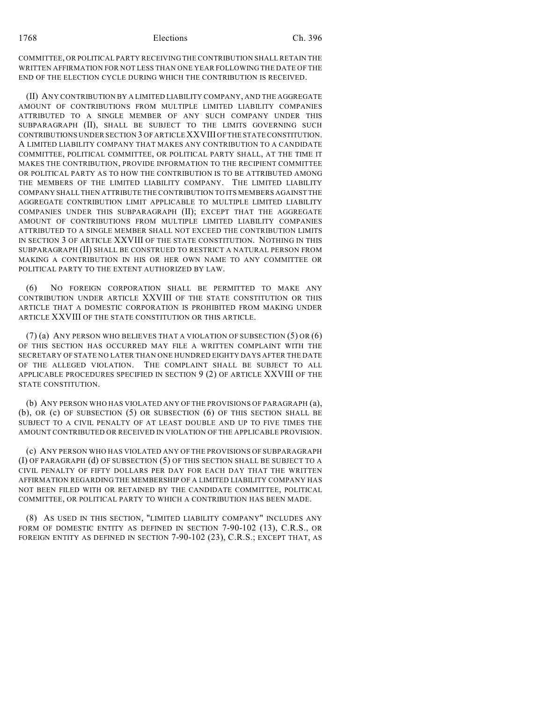COMMITTEE, OR POLITICAL PARTY RECEIVING THE CONTRIBUTION SHALL RETAIN THE WRITTEN AFFIRMATION FOR NOT LESS THAN ONE YEAR FOLLOWING THE DATE OF THE END OF THE ELECTION CYCLE DURING WHICH THE CONTRIBUTION IS RECEIVED.

(II) ANY CONTRIBUTION BY A LIMITED LIABILITY COMPANY, AND THE AGGREGATE AMOUNT OF CONTRIBUTIONS FROM MULTIPLE LIMITED LIABILITY COMPANIES ATTRIBUTED TO A SINGLE MEMBER OF ANY SUCH COMPANY UNDER THIS SUBPARAGRAPH (II), SHALL BE SUBJECT TO THE LIMITS GOVERNING SUCH CONTRIBUTIONS UNDER SECTION 3 OF ARTICLE XXVIII OF THE STATE CONSTITUTION. A LIMITED LIABILITY COMPANY THAT MAKES ANY CONTRIBUTION TO A CANDIDATE COMMITTEE, POLITICAL COMMITTEE, OR POLITICAL PARTY SHALL, AT THE TIME IT MAKES THE CONTRIBUTION, PROVIDE INFORMATION TO THE RECIPIENT COMMITTEE OR POLITICAL PARTY AS TO HOW THE CONTRIBUTION IS TO BE ATTRIBUTED AMONG THE MEMBERS OF THE LIMITED LIABILITY COMPANY. THE LIMITED LIABILITY COMPANY SHALL THEN ATTRIBUTE THE CONTRIBUTION TO ITS MEMBERS AGAINST THE AGGREGATE CONTRIBUTION LIMIT APPLICABLE TO MULTIPLE LIMITED LIABILITY COMPANIES UNDER THIS SUBPARAGRAPH (II); EXCEPT THAT THE AGGREGATE AMOUNT OF CONTRIBUTIONS FROM MULTIPLE LIMITED LIABILITY COMPANIES ATTRIBUTED TO A SINGLE MEMBER SHALL NOT EXCEED THE CONTRIBUTION LIMITS IN SECTION 3 OF ARTICLE XXVIII OF THE STATE CONSTITUTION. NOTHING IN THIS SUBPARAGRAPH (II) SHALL BE CONSTRUED TO RESTRICT A NATURAL PERSON FROM MAKING A CONTRIBUTION IN HIS OR HER OWN NAME TO ANY COMMITTEE OR POLITICAL PARTY TO THE EXTENT AUTHORIZED BY LAW.

(6) NO FOREIGN CORPORATION SHALL BE PERMITTED TO MAKE ANY CONTRIBUTION UNDER ARTICLE XXVIII OF THE STATE CONSTITUTION OR THIS ARTICLE THAT A DOMESTIC CORPORATION IS PROHIBITED FROM MAKING UNDER ARTICLE XXVIII OF THE STATE CONSTITUTION OR THIS ARTICLE.

(7) (a) ANY PERSON WHO BELIEVES THAT A VIOLATION OF SUBSECTION (5) OR (6) OF THIS SECTION HAS OCCURRED MAY FILE A WRITTEN COMPLAINT WITH THE SECRETARY OF STATE NO LATER THAN ONE HUNDRED EIGHTY DAYS AFTER THE DATE OF THE ALLEGED VIOLATION. THE COMPLAINT SHALL BE SUBJECT TO ALL APPLICABLE PROCEDURES SPECIFIED IN SECTION 9 (2) OF ARTICLE XXVIII OF THE STATE CONSTITUTION.

(b) ANY PERSON WHO HAS VIOLATED ANY OF THE PROVISIONS OF PARAGRAPH (a), (b), OR (c) OF SUBSECTION (5) OR SUBSECTION (6) OF THIS SECTION SHALL BE SUBJECT TO A CIVIL PENALTY OF AT LEAST DOUBLE AND UP TO FIVE TIMES THE AMOUNT CONTRIBUTED OR RECEIVED IN VIOLATION OF THE APPLICABLE PROVISION.

(c) ANY PERSON WHO HAS VIOLATED ANY OF THE PROVISIONS OF SUBPARAGRAPH (I) OF PARAGRAPH (d) OF SUBSECTION (5) OF THIS SECTION SHALL BE SUBJECT TO A CIVIL PENALTY OF FIFTY DOLLARS PER DAY FOR EACH DAY THAT THE WRITTEN AFFIRMATION REGARDING THE MEMBERSHIP OF A LIMITED LIABILITY COMPANY HAS NOT BEEN FILED WITH OR RETAINED BY THE CANDIDATE COMMITTEE, POLITICAL COMMITTEE, OR POLITICAL PARTY TO WHICH A CONTRIBUTION HAS BEEN MADE.

(8) AS USED IN THIS SECTION, "LIMITED LIABILITY COMPANY" INCLUDES ANY FORM OF DOMESTIC ENTITY AS DEFINED IN SECTION 7-90-102 (13), C.R.S., OR FOREIGN ENTITY AS DEFINED IN SECTION 7-90-102 (23), C.R.S.; EXCEPT THAT, AS